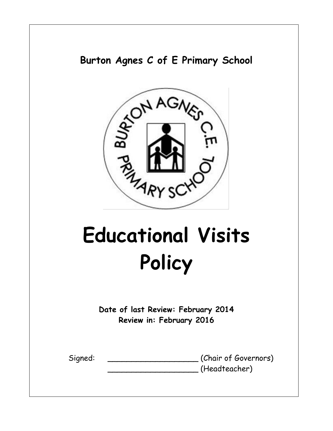# **Burton Agnes C of E Primary School**



# **Educational Visits Policy**

**Date of last Review: February 2014 Review in: February 2016**

| Signed: |  |
|---------|--|
|         |  |

(Chair of Governors) \_\_\_\_\_\_\_\_\_\_\_\_\_\_\_\_\_\_\_ (Headteacher)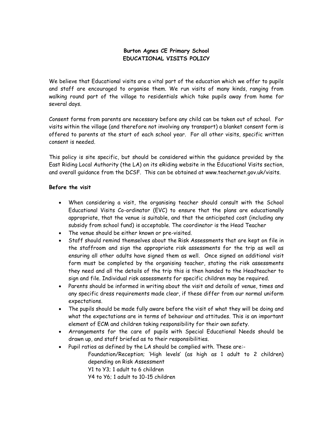## **Burton Agnes CE Primary School EDUCATIONAL VISITS POLICY**

We believe that Educational visits are a vital part of the education which we offer to pupils and staff are encouraged to organise them. We run visits of many kinds, ranging from walking round part of the village to residentials which take pupils away from home for several days.

Consent forms from parents are necessary before any child can be taken out of school. For visits within the village (and therefore not involving any transport) a blanket consent form is offered to parents at the start of each school year. For all other visits, specific written consent is needed.

This policy is site specific, but should be considered within the guidance provided by the East Riding Local Authority (the LA) on its eRiding website in the Educational Visits section, and overall guidance from the DCSF. This can be obtained at www.teachernet.gov.uk/visits.

#### **Before the visit**

- When considering a visit, the organising teacher should consult with the School Educational Visits Co-ordinator (EVC) to ensure that the plans are educationally appropriate, that the venue is suitable, and that the anticipated cost (including any subsidy from school fund) is acceptable. The coordinator is the Head Teacher
- The venue should be either known or pre-visited.
- Staff should remind themselves about the Risk Assessments that are kept on file in the staffroom and sign the appropriate risk assessments for the trip as well as ensuring all other adults have signed them as well. Once signed an additional visit form must be completed by the organising teacher, stating the risk assessments they need and all the details of the trip this is then handed to the Headteacher to sign and file. Individual risk assessments for specific children may be required.
- Parents should be informed in writing about the visit and details of venue, times and any specific dress requirements made clear, if these differ from our normal uniform expectations.
- The pupils should be made fully aware before the visit of what they will be doing and what the expectations are in terms of behaviour and attitudes. This is an important element of ECM and children taking responsibility for their own safety.
- Arrangements for the care of pupils with Special Educational Needs should be drawn up, and staff briefed as to their responsibilities.
- Pupil ratios as defined by the LA should be complied with. These are:-
	- Foundation/Reception; 'High levels' (as high as 1 adult to 2 children) depending on Risk Assessment
		- Y1 to Y3; 1 adult to 6 children
	- Y4 to Y6; 1 adult to 10-15 children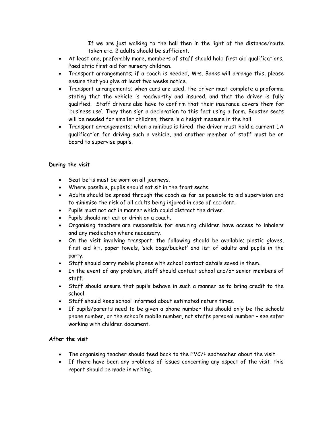If we are just walking to the hall then in the light of the distance/route taken etc. 2 adults should be sufficient.

- At least one, preferably more, members of staff should hold first aid qualifications. Paediatric first aid for nursery children.
- Transport arrangements; if a coach is needed, Mrs. Banks will arrange this, please ensure that you give at least two weeks notice.
- Transport arrangements; when cars are used, the driver must complete a proforma stating that the vehicle is roadworthy and insured, and that the driver is fully qualified. Staff drivers also have to confirm that their insurance covers them for 'business use'. They then sign a declaration to this fact using a form. Booster seats will be needed for smaller children; there is a height measure in the hall.
- Transport arrangements; when a minibus is hired, the driver must hold a current LA qualification for driving such a vehicle, and another member of staff must be on board to supervise pupils.

### **During the visit**

- Seat belts must be worn on all journeys.
- Where possible, pupils should not sit in the front seats.
- Adults should be spread through the coach as far as possible to aid supervision and to minimise the risk of all adults being injured in case of accident.
- Pupils must not act in manner which could distract the driver.
- Pupils should not eat or drink on a coach.
- Organising teachers are responsible for ensuring children have access to inhalers and any medication where necessary.
- On the visit involving transport, the following should be available; plastic gloves, first aid kit, paper towels, 'sick bags/bucket' and list of adults and pupils in the party.
- Staff should carry mobile phones with school contact details saved in them.
- In the event of any problem, staff should contact school and/or senior members of staff.
- Staff should ensure that pupils behave in such a manner as to bring credit to the school.
- Staff should keep school informed about estimated return times.
- If pupils/parents need to be given a phone number this should only be the schools phone number, or the school's mobile number, not staffs personal number – see safer working with children document.

### **After the visit**

- The organising teacher should feed back to the EVC/Headteacher about the visit.
- If there have been any problems of issues concerning any aspect of the visit, this report should be made in writing.